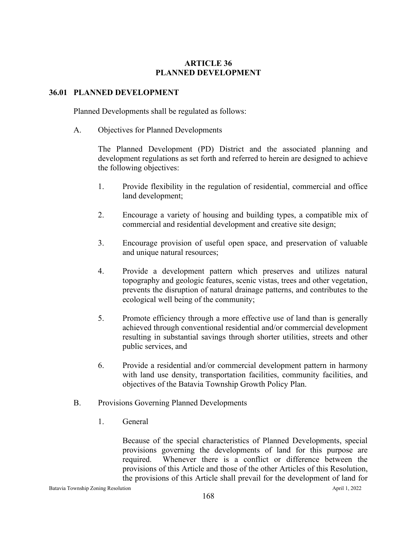## **ARTICLE 36 PLANNED DEVELOPMENT**

## **36.01 PLANNED DEVELOPMENT**

Planned Developments shall be regulated as follows:

A. Objectives for Planned Developments

The Planned Development (PD) District and the associated planning and development regulations as set forth and referred to herein are designed to achieve the following objectives:

- 1. Provide flexibility in the regulation of residential, commercial and office land development;
- 2. Encourage a variety of housing and building types, a compatible mix of commercial and residential development and creative site design;
- 3. Encourage provision of useful open space, and preservation of valuable and unique natural resources;
- 4. Provide a development pattern which preserves and utilizes natural topography and geologic features, scenic vistas, trees and other vegetation, prevents the disruption of natural drainage patterns, and contributes to the ecological well being of the community;
- 5. Promote efficiency through a more effective use of land than is generally achieved through conventional residential and/or commercial development resulting in substantial savings through shorter utilities, streets and other public services, and
- 6. Provide a residential and/or commercial development pattern in harmony with land use density, transportation facilities, community facilities, and objectives of the Batavia Township Growth Policy Plan.
- B. Provisions Governing Planned Developments
	- 1. General

Because of the special characteristics of Planned Developments, special provisions governing the developments of land for this purpose are required. Whenever there is a conflict or difference between the provisions of this Article and those of the other Articles of this Resolution, the provisions of this Article shall prevail for the development of land for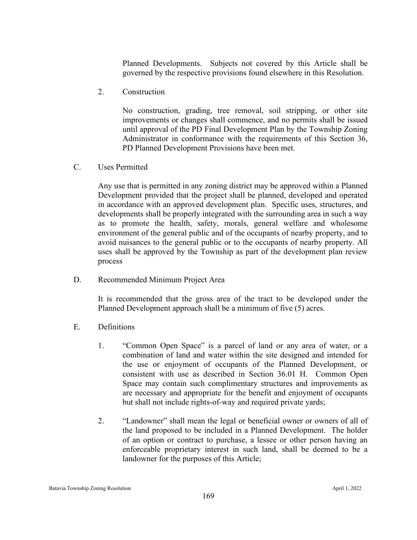Planned Developments. Subjects not covered by this Article shall be governed by the respective provisions found elsewhere in this Resolution.

2. Construction

No construction, grading, tree removal, soil stripping, or other site improvements or changes shall commence, and no permits shall be issued until approval of the PD Final Development Plan by the Township Zoning Administrator in conformance with the requirements of this Section 36, PD Planned Development Provisions have been met.

C. Uses Permitted

Any use that is permitted in any zoning district may be approved within a Planned Development provided that the project shall be planned, developed and operated in accordance with an approved development plan. Specific uses, structures, and developments shall be properly integrated with the surrounding area in such a way as to promote the health, safety, morals, general welfare and wholesome environment of the general public and of the occupants of nearby property, and to avoid nuisances to the general public or to the occupants of nearby property. All uses shall be approved by the Township as part of the development plan review process

D. Recommended Minimum Project Area

It is recommended that the gross area of the tract to be developed under the Planned Development approach shall be a minimum of five (5) acres.

- E. Definitions
	- 1. "Common Open Space" is a parcel of land or any area of water, or a combination of land and water within the site designed and intended for the use or enjoyment of occupants of the Planned Development, or consistent with use as described in Section 36.01 H. Common Open Space may contain such complimentary structures and improvements as are necessary and appropriate for the benefit and enjoyment of occupants but shall not include rights-of-way and required private yards;
	- 2. "Landowner" shall mean the legal or beneficial owner or owners of all of the land proposed to be included in a Planned Development. The holder of an option or contract to purchase, a lessee or other person having an enforceable proprietary interest in such land, shall be deemed to be a landowner for the purposes of this Article;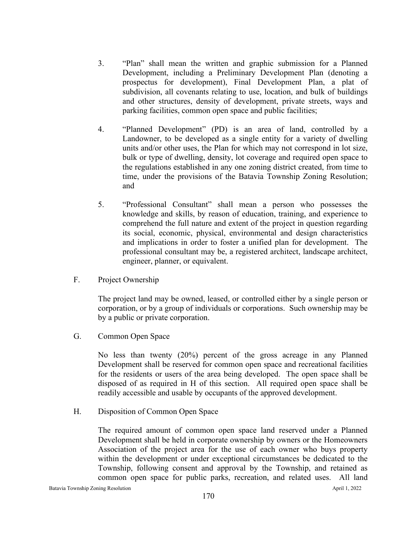- 3. "Plan" shall mean the written and graphic submission for a Planned Development, including a Preliminary Development Plan (denoting a prospectus for development), Final Development Plan, a plat of subdivision, all covenants relating to use, location, and bulk of buildings and other structures, density of development, private streets, ways and parking facilities, common open space and public facilities;
- 4. "Planned Development" (PD) is an area of land, controlled by a Landowner, to be developed as a single entity for a variety of dwelling units and/or other uses, the Plan for which may not correspond in lot size, bulk or type of dwelling, density, lot coverage and required open space to the regulations established in any one zoning district created, from time to time, under the provisions of the Batavia Township Zoning Resolution; and
- 5. "Professional Consultant" shall mean a person who possesses the knowledge and skills, by reason of education, training, and experience to comprehend the full nature and extent of the project in question regarding its social, economic, physical, environmental and design characteristics and implications in order to foster a unified plan for development. The professional consultant may be, a registered architect, landscape architect, engineer, planner, or equivalent.
- F. Project Ownership

The project land may be owned, leased, or controlled either by a single person or corporation, or by a group of individuals or corporations. Such ownership may be by a public or private corporation.

G. Common Open Space

No less than twenty (20%) percent of the gross acreage in any Planned Development shall be reserved for common open space and recreational facilities for the residents or users of the area being developed. The open space shall be disposed of as required in H of this section. All required open space shall be readily accessible and usable by occupants of the approved development.

H. Disposition of Common Open Space

The required amount of common open space land reserved under a Planned Development shall be held in corporate ownership by owners or the Homeowners Association of the project area for the use of each owner who buys property within the development or under exceptional circumstances be dedicated to the Township, following consent and approval by the Township, and retained as common open space for public parks, recreation, and related uses. All land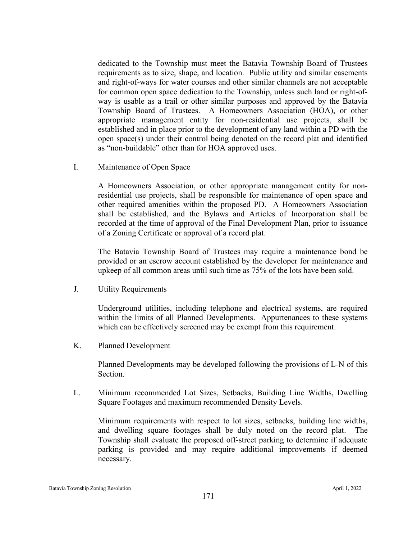dedicated to the Township must meet the Batavia Township Board of Trustees requirements as to size, shape, and location. Public utility and similar easements and right-of-ways for water courses and other similar channels are not acceptable for common open space dedication to the Township, unless such land or right-ofway is usable as a trail or other similar purposes and approved by the Batavia Township Board of Trustees. A Homeowners Association (HOA), or other appropriate management entity for non-residential use projects, shall be established and in place prior to the development of any land within a PD with the open space(s) under their control being denoted on the record plat and identified as "non-buildable" other than for HOA approved uses.

I. Maintenance of Open Space

A Homeowners Association, or other appropriate management entity for nonresidential use projects, shall be responsible for maintenance of open space and other required amenities within the proposed PD. A Homeowners Association shall be established, and the Bylaws and Articles of Incorporation shall be recorded at the time of approval of the Final Development Plan, prior to issuance of a Zoning Certificate or approval of a record plat.

The Batavia Township Board of Trustees may require a maintenance bond be provided or an escrow account established by the developer for maintenance and upkeep of all common areas until such time as 75% of the lots have been sold.

J. Utility Requirements

Underground utilities, including telephone and electrical systems, are required within the limits of all Planned Developments. Appurtenances to these systems which can be effectively screened may be exempt from this requirement.

K. Planned Development

Planned Developments may be developed following the provisions of L-N of this Section.

L. Minimum recommended Lot Sizes, Setbacks, Building Line Widths, Dwelling Square Footages and maximum recommended Density Levels.

Minimum requirements with respect to lot sizes, setbacks, building line widths, and dwelling square footages shall be duly noted on the record plat. The Township shall evaluate the proposed off-street parking to determine if adequate parking is provided and may require additional improvements if deemed necessary.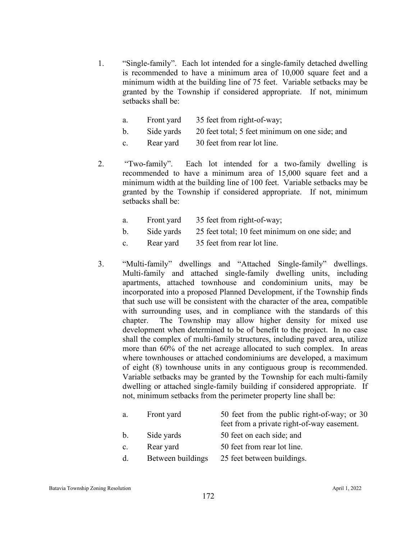1. "Single-family". Each lot intended for a single-family detached dwelling is recommended to have a minimum area of 10,000 square feet and a minimum width at the building line of 75 feet. Variable setbacks may be granted by the Township if considered appropriate. If not, minimum setbacks shall be:

| Front yard | 35 feet from right-of-way;                       |
|------------|--------------------------------------------------|
|            | $\sim$ $\sim$ $\sim$ $\sim$ $\sim$ $\sim$ $\sim$ |

- b. Side yards 20 feet total; 5 feet minimum on one side; and
- c. Rear yard 30 feet from rear lot line.
- 2. "Two-family". Each lot intended for a two-family dwelling is recommended to have a minimum area of 15,000 square feet and a minimum width at the building line of 100 feet. Variable setbacks may be granted by the Township if considered appropriate. If not, minimum setbacks shall be:
	- a. Front yard 35 feet from right-of-way;
	- b. Side yards 25 feet total; 10 feet minimum on one side; and
	- c. Rear yard 35 feet from rear lot line.
- 3. "Multi-family" dwellings and "Attached Single-family" dwellings. Multi-family and attached single-family dwelling units, including apartments, attached townhouse and condominium units, may be incorporated into a proposed Planned Development, if the Township finds that such use will be consistent with the character of the area, compatible with surrounding uses, and in compliance with the standards of this chapter. The Township may allow higher density for mixed use development when determined to be of benefit to the project. In no case shall the complex of multi-family structures, including paved area, utilize more than 60% of the net acreage allocated to such complex. In areas where townhouses or attached condominiums are developed, a maximum of eight (8) townhouse units in any contiguous group is recommended. Variable setbacks may be granted by the Township for each multi-family dwelling or attached single-family building if considered appropriate. If not, minimum setbacks from the perimeter property line shall be:

| a. | Front yard        | 50 feet from the public right-of-way; or 30<br>feet from a private right-of-way easement. |
|----|-------------------|-------------------------------------------------------------------------------------------|
| b. | Side yards        | 50 feet on each side; and                                                                 |
| c. | Rear yard         | 50 feet from rear lot line.                                                               |
| d. | Between buildings | 25 feet between buildings.                                                                |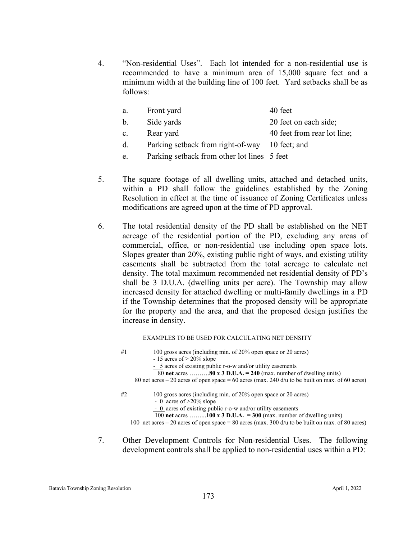4. "Non-residential Uses". Each lot intended for a non-residential use is recommended to have a minimum area of 15,000 square feet and a minimum width at the building line of 100 feet. Yard setbacks shall be as follows:

| a.          | Front yard                                     | 40 feet                     |
|-------------|------------------------------------------------|-----------------------------|
| b.          | Side yards                                     | 20 feet on each side;       |
| $c_{\cdot}$ | Rear yard                                      | 40 feet from rear lot line; |
| d.          | Parking setback from right-of-way 10 feet; and |                             |
| e.          | Parking setback from other lot lines 5 feet    |                             |

- 5. The square footage of all dwelling units, attached and detached units, within a PD shall follow the guidelines established by the Zoning Resolution in effect at the time of issuance of Zoning Certificates unless modifications are agreed upon at the time of PD approval.
- 6. The total residential density of the PD shall be established on the NET acreage of the residential portion of the PD, excluding any areas of commercial, office, or non-residential use including open space lots. Slopes greater than 20%, existing public right of ways, and existing utility easements shall be subtracted from the total acreage to calculate net density. The total maximum recommended net residential density of PD's shall be 3 D.U.A. (dwelling units per acre). The Township may allow increased density for attached dwelling or multi-family dwellings in a PD if the Township determines that the proposed density will be appropriate for the property and the area, and that the proposed design justifies the increase in density.

EXAMPLES TO BE USED FOR CALCULATING NET DENSITY

- #1 100 gross acres (including min. of 20% open space or 20 acres)  $-15$  acres of  $> 20\%$  slope - 5 acres of existing public r-o-w and/or utility easements 80 **net** acres ……….**80 x 3 D.U.A. = 240** (max. number of dwelling units) 80 net acres – 20 acres of open space = 60 acres (max. 240 d/u to be built on max. of 60 acres) #2 100 gross acres (including min. of 20% open space or 20 acres) - 0 acres of >20% slope - 0 acres of existing public r-o-w and/or utility easements 100 **net** acres ……...**100 x 3 D.U.A. = 300** (max. number of dwelling units) 100 net acres – 20 acres of open space = 80 acres (max. 300 d/u to be built on max. of 80 acres)
- 7. Other Development Controls for Non-residential Uses. The following development controls shall be applied to non-residential uses within a PD:

Batavia Township Zoning Resolution April 1, 2022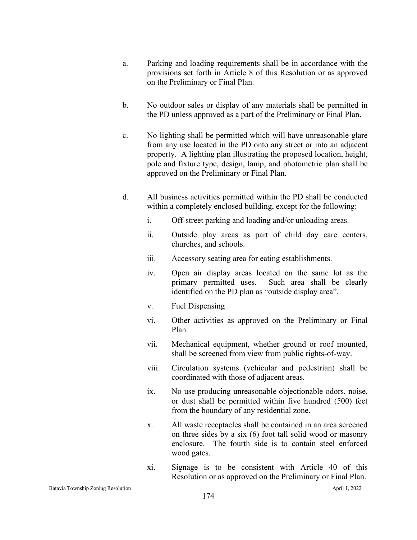- a. Parking and loading requirements shall be in accordance with the provisions set forth in Article 8 of this Resolution or as approved on the Preliminary or Final Plan.
- b. No outdoor sales or display of any materials shall be permitted in the PD unless approved as a part of the Preliminary or Final Plan.
- c. No lighting shall be permitted which will have unreasonable glare from any use located in the PD onto any street or into an adjacent property. A lighting plan illustrating the proposed location, height, pole and fixture type, design, lamp, and photometric plan shall be approved on the Preliminary or Final Plan.
- d. All business activities permitted within the PD shall be conducted within a completely enclosed building, except for the following:
	- i. Off-street parking and loading and/or unloading areas.
	- ii. Outside play areas as part of child day care centers, churches, and schools.
	- iii. Accessory seating area for eating establishments.
	- iv. Open air display areas located on the same lot as the primary permitted uses. Such area shall be clearly identified on the PD plan as "outside display area".
	- v. Fuel Dispensing
	- vi. Other activities as approved on the Preliminary or Final Plan.
	- vii. Mechanical equipment, whether ground or roof mounted, shall be screened from view from public rights-of-way.
	- viii. Circulation systems (vehicular and pedestrian) shall be coordinated with those of adjacent areas.
	- ix. No use producing unreasonable objectionable odors, noise, or dust shall be permitted within five hundred (500) feet from the boundary of any residential zone.
	- x. All waste receptacles shall be contained in an area screened on three sides by a six (6) foot tall solid wood or masonry enclosure. The fourth side is to contain steel enforced wood gates.
	- xi. Signage is to be consistent with Article 40 of this Resolution or as approved on the Preliminary or Final Plan.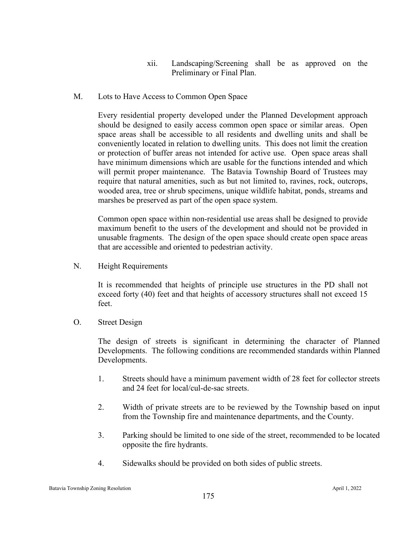- xii. Landscaping/Screening shall be as approved on the Preliminary or Final Plan.
- M. Lots to Have Access to Common Open Space

Every residential property developed under the Planned Development approach should be designed to easily access common open space or similar areas. Open space areas shall be accessible to all residents and dwelling units and shall be conveniently located in relation to dwelling units. This does not limit the creation or protection of buffer areas not intended for active use. Open space areas shall have minimum dimensions which are usable for the functions intended and which will permit proper maintenance. The Batavia Township Board of Trustees may require that natural amenities, such as but not limited to, ravines, rock, outcrops, wooded area, tree or shrub specimens, unique wildlife habitat, ponds, streams and marshes be preserved as part of the open space system.

Common open space within non-residential use areas shall be designed to provide maximum benefit to the users of the development and should not be provided in unusable fragments. The design of the open space should create open space areas that are accessible and oriented to pedestrian activity.

N. Height Requirements

It is recommended that heights of principle use structures in the PD shall not exceed forty (40) feet and that heights of accessory structures shall not exceed 15 feet.

O. Street Design

The design of streets is significant in determining the character of Planned Developments. The following conditions are recommended standards within Planned Developments.

- 1. Streets should have a minimum pavement width of 28 feet for collector streets and 24 feet for local/cul-de-sac streets.
- 2. Width of private streets are to be reviewed by the Township based on input from the Township fire and maintenance departments, and the County.
- 3. Parking should be limited to one side of the street, recommended to be located opposite the fire hydrants.
- 4. Sidewalks should be provided on both sides of public streets.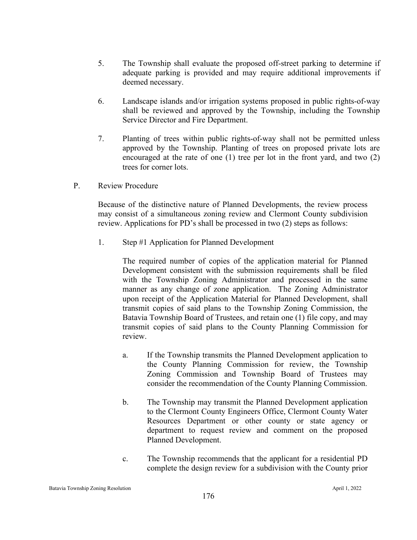- 5. The Township shall evaluate the proposed off-street parking to determine if adequate parking is provided and may require additional improvements if deemed necessary.
- 6. Landscape islands and/or irrigation systems proposed in public rights-of-way shall be reviewed and approved by the Township, including the Township Service Director and Fire Department.
- 7. Planting of trees within public rights-of-way shall not be permitted unless approved by the Township. Planting of trees on proposed private lots are encouraged at the rate of one (1) tree per lot in the front yard, and two (2) trees for corner lots.
- P. Review Procedure

Because of the distinctive nature of Planned Developments, the review process may consist of a simultaneous zoning review and Clermont County subdivision review. Applications for PD's shall be processed in two (2) steps as follows:

1. Step #1 Application for Planned Development

The required number of copies of the application material for Planned Development consistent with the submission requirements shall be filed with the Township Zoning Administrator and processed in the same manner as any change of zone application. The Zoning Administrator upon receipt of the Application Material for Planned Development, shall transmit copies of said plans to the Township Zoning Commission, the Batavia Township Board of Trustees, and retain one (1) file copy, and may transmit copies of said plans to the County Planning Commission for review.

- a. If the Township transmits the Planned Development application to the County Planning Commission for review, the Township Zoning Commission and Township Board of Trustees may consider the recommendation of the County Planning Commission.
- b. The Township may transmit the Planned Development application to the Clermont County Engineers Office, Clermont County Water Resources Department or other county or state agency or department to request review and comment on the proposed Planned Development.
- c. The Township recommends that the applicant for a residential PD complete the design review for a subdivision with the County prior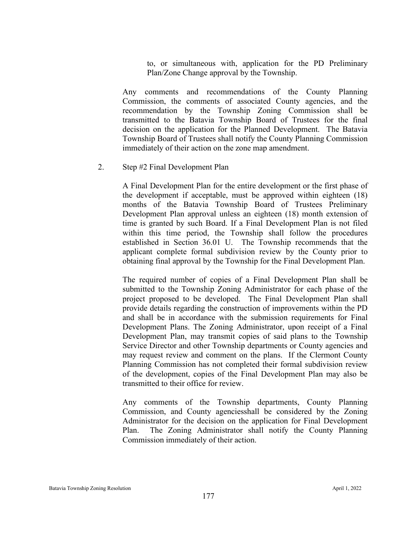to, or simultaneous with, application for the PD Preliminary Plan/Zone Change approval by the Township.

Any comments and recommendations of the County Planning Commission, the comments of associated County agencies, and the recommendation by the Township Zoning Commission shall be transmitted to the Batavia Township Board of Trustees for the final decision on the application for the Planned Development. The Batavia Township Board of Trustees shall notify the County Planning Commission immediately of their action on the zone map amendment.

## 2. Step #2 Final Development Plan

A Final Development Plan for the entire development or the first phase of the development if acceptable, must be approved within eighteen (18) months of the Batavia Township Board of Trustees Preliminary Development Plan approval unless an eighteen (18) month extension of time is granted by such Board. If a Final Development Plan is not filed within this time period, the Township shall follow the procedures established in Section 36.01 U. The Township recommends that the applicant complete formal subdivision review by the County prior to obtaining final approval by the Township for the Final Development Plan.

The required number of copies of a Final Development Plan shall be submitted to the Township Zoning Administrator for each phase of the project proposed to be developed. The Final Development Plan shall provide details regarding the construction of improvements within the PD and shall be in accordance with the submission requirements for Final Development Plans. The Zoning Administrator, upon receipt of a Final Development Plan, may transmit copies of said plans to the Township Service Director and other Township departments or County agencies and may request review and comment on the plans. If the Clermont County Planning Commission has not completed their formal subdivision review of the development, copies of the Final Development Plan may also be transmitted to their office for review.

Any comments of the Township departments, County Planning Commission, and County agenciesshall be considered by the Zoning Administrator for the decision on the application for Final Development Plan. The Zoning Administrator shall notify the County Planning Commission immediately of their action.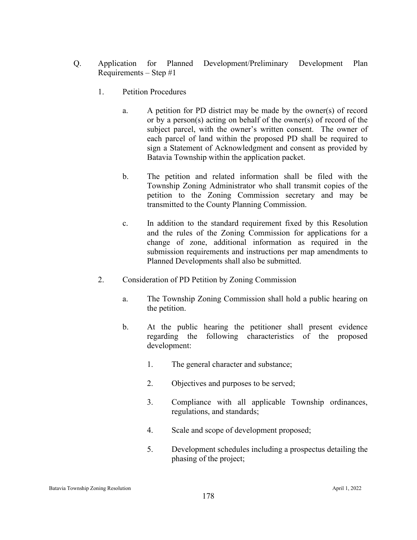- Q. Application for Planned Development/Preliminary Development Plan Requirements – Step #1
	- 1. Petition Procedures
		- a. A petition for PD district may be made by the owner(s) of record or by a person(s) acting on behalf of the owner(s) of record of the subject parcel, with the owner's written consent. The owner of each parcel of land within the proposed PD shall be required to sign a Statement of Acknowledgment and consent as provided by Batavia Township within the application packet.
		- b. The petition and related information shall be filed with the Township Zoning Administrator who shall transmit copies of the petition to the Zoning Commission secretary and may be transmitted to the County Planning Commission.
		- c. In addition to the standard requirement fixed by this Resolution and the rules of the Zoning Commission for applications for a change of zone, additional information as required in the submission requirements and instructions per map amendments to Planned Developments shall also be submitted.
	- 2. Consideration of PD Petition by Zoning Commission
		- a. The Township Zoning Commission shall hold a public hearing on the petition.
		- b. At the public hearing the petitioner shall present evidence regarding the following characteristics of the proposed development:
			- 1. The general character and substance;
			- 2. Objectives and purposes to be served;
			- 3. Compliance with all applicable Township ordinances, regulations, and standards;
			- 4. Scale and scope of development proposed;
			- 5. Development schedules including a prospectus detailing the phasing of the project;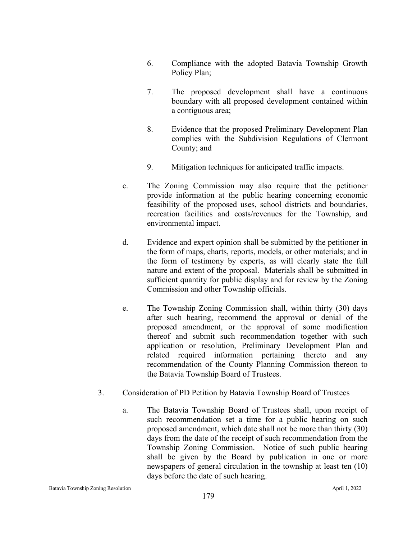- 6. Compliance with the adopted Batavia Township Growth Policy Plan;
- 7. The proposed development shall have a continuous boundary with all proposed development contained within a contiguous area;
- 8. Evidence that the proposed Preliminary Development Plan complies with the Subdivision Regulations of Clermont County; and
- 9. Mitigation techniques for anticipated traffic impacts.
- c. The Zoning Commission may also require that the petitioner provide information at the public hearing concerning economic feasibility of the proposed uses, school districts and boundaries, recreation facilities and costs/revenues for the Township, and environmental impact.
- d. Evidence and expert opinion shall be submitted by the petitioner in the form of maps, charts, reports, models, or other materials; and in the form of testimony by experts, as will clearly state the full nature and extent of the proposal. Materials shall be submitted in sufficient quantity for public display and for review by the Zoning Commission and other Township officials.
- e. The Township Zoning Commission shall, within thirty (30) days after such hearing, recommend the approval or denial of the proposed amendment, or the approval of some modification thereof and submit such recommendation together with such application or resolution, Preliminary Development Plan and related required information pertaining thereto and any recommendation of the County Planning Commission thereon to the Batavia Township Board of Trustees.
- 3. Consideration of PD Petition by Batavia Township Board of Trustees
	- a. The Batavia Township Board of Trustees shall, upon receipt of such recommendation set a time for a public hearing on such proposed amendment, which date shall not be more than thirty (30) days from the date of the receipt of such recommendation from the Township Zoning Commission. Notice of such public hearing shall be given by the Board by publication in one or more newspapers of general circulation in the township at least ten (10) days before the date of such hearing.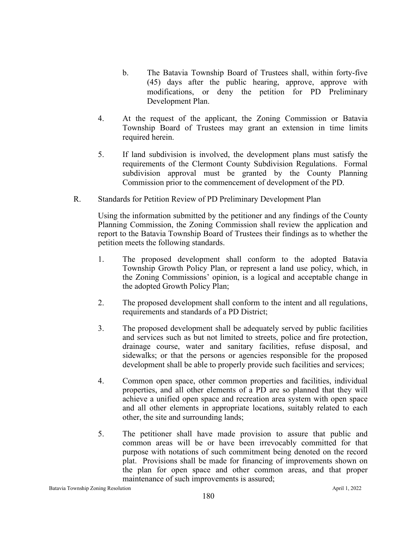- b. The Batavia Township Board of Trustees shall, within forty-five (45) days after the public hearing, approve, approve with modifications, or deny the petition for PD Preliminary Development Plan.
- 4. At the request of the applicant, the Zoning Commission or Batavia Township Board of Trustees may grant an extension in time limits required herein.
- 5. If land subdivision is involved, the development plans must satisfy the requirements of the Clermont County Subdivision Regulations. Formal subdivision approval must be granted by the County Planning Commission prior to the commencement of development of the PD.
- R. Standards for Petition Review of PD Preliminary Development Plan

Using the information submitted by the petitioner and any findings of the County Planning Commission, the Zoning Commission shall review the application and report to the Batavia Township Board of Trustees their findings as to whether the petition meets the following standards.

- 1. The proposed development shall conform to the adopted Batavia Township Growth Policy Plan, or represent a land use policy, which, in the Zoning Commissions' opinion, is a logical and acceptable change in the adopted Growth Policy Plan;
- 2. The proposed development shall conform to the intent and all regulations, requirements and standards of a PD District;
- 3. The proposed development shall be adequately served by public facilities and services such as but not limited to streets, police and fire protection, drainage course, water and sanitary facilities, refuse disposal, and sidewalks; or that the persons or agencies responsible for the proposed development shall be able to properly provide such facilities and services;
- 4. Common open space, other common properties and facilities, individual properties, and all other elements of a PD are so planned that they will achieve a unified open space and recreation area system with open space and all other elements in appropriate locations, suitably related to each other, the site and surrounding lands;
- 5. The petitioner shall have made provision to assure that public and common areas will be or have been irrevocably committed for that purpose with notations of such commitment being denoted on the record plat. Provisions shall be made for financing of improvements shown on the plan for open space and other common areas, and that proper maintenance of such improvements is assured;

Batavia Township Zoning Resolution April 1, 2022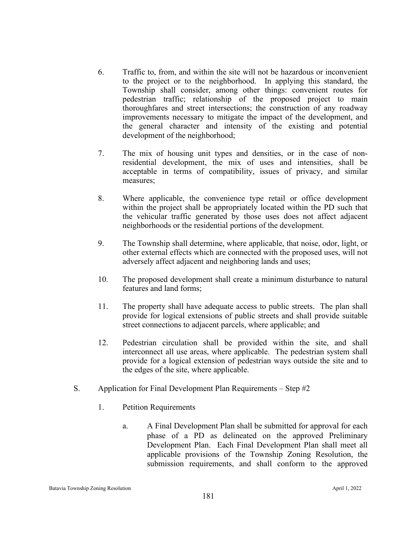- 6. Traffic to, from, and within the site will not be hazardous or inconvenient to the project or to the neighborhood. In applying this standard, the Township shall consider, among other things: convenient routes for pedestrian traffic; relationship of the proposed project to main thoroughfares and street intersections; the construction of any roadway improvements necessary to mitigate the impact of the development, and the general character and intensity of the existing and potential development of the neighborhood;
- 7. The mix of housing unit types and densities, or in the case of nonresidential development, the mix of uses and intensities, shall be acceptable in terms of compatibility, issues of privacy, and similar measures;
- 8. Where applicable, the convenience type retail or office development within the project shall be appropriately located within the PD such that the vehicular traffic generated by those uses does not affect adjacent neighborhoods or the residential portions of the development.
- 9. The Township shall determine, where applicable, that noise, odor, light, or other external effects which are connected with the proposed uses, will not adversely affect adjacent and neighboring lands and uses;
- 10. The proposed development shall create a minimum disturbance to natural features and land forms;
- 11. The property shall have adequate access to public streets. The plan shall provide for logical extensions of public streets and shall provide suitable street connections to adjacent parcels, where applicable; and
- 12. Pedestrian circulation shall be provided within the site, and shall interconnect all use areas, where applicable. The pedestrian system shall provide for a logical extension of pedestrian ways outside the site and to the edges of the site, where applicable.
- S. Application for Final Development Plan Requirements Step #2
	- 1. Petition Requirements
		- a. A Final Development Plan shall be submitted for approval for each phase of a PD as delineated on the approved Preliminary Development Plan. Each Final Development Plan shall meet all applicable provisions of the Township Zoning Resolution, the submission requirements, and shall conform to the approved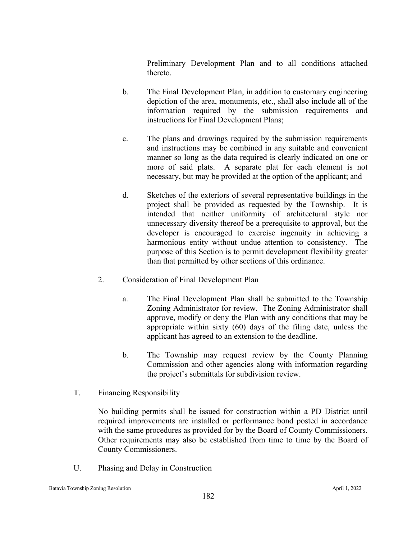Preliminary Development Plan and to all conditions attached thereto.

- b. The Final Development Plan, in addition to customary engineering depiction of the area, monuments, etc., shall also include all of the information required by the submission requirements and instructions for Final Development Plans;
- c. The plans and drawings required by the submission requirements and instructions may be combined in any suitable and convenient manner so long as the data required is clearly indicated on one or more of said plats. A separate plat for each element is not necessary, but may be provided at the option of the applicant; and
- d. Sketches of the exteriors of several representative buildings in the project shall be provided as requested by the Township. It is intended that neither uniformity of architectural style nor unnecessary diversity thereof be a prerequisite to approval, but the developer is encouraged to exercise ingenuity in achieving a harmonious entity without undue attention to consistency. The purpose of this Section is to permit development flexibility greater than that permitted by other sections of this ordinance.
- 2. Consideration of Final Development Plan
	- a. The Final Development Plan shall be submitted to the Township Zoning Administrator for review. The Zoning Administrator shall approve, modify or deny the Plan with any conditions that may be appropriate within sixty (60) days of the filing date, unless the applicant has agreed to an extension to the deadline.
	- b. The Township may request review by the County Planning Commission and other agencies along with information regarding the project's submittals for subdivision review.
- T. Financing Responsibility

No building permits shall be issued for construction within a PD District until required improvements are installed or performance bond posted in accordance with the same procedures as provided for by the Board of County Commissioners. Other requirements may also be established from time to time by the Board of County Commissioners.

U. Phasing and Delay in Construction

Batavia Township Zoning Resolution April 1, 2022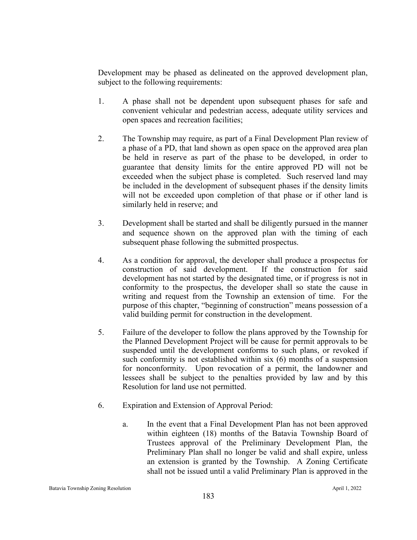Development may be phased as delineated on the approved development plan, subject to the following requirements:

- 1. A phase shall not be dependent upon subsequent phases for safe and convenient vehicular and pedestrian access, adequate utility services and open spaces and recreation facilities;
- 2. The Township may require, as part of a Final Development Plan review of a phase of a PD, that land shown as open space on the approved area plan be held in reserve as part of the phase to be developed, in order to guarantee that density limits for the entire approved PD will not be exceeded when the subject phase is completed. Such reserved land may be included in the development of subsequent phases if the density limits will not be exceeded upon completion of that phase or if other land is similarly held in reserve; and
- 3. Development shall be started and shall be diligently pursued in the manner and sequence shown on the approved plan with the timing of each subsequent phase following the submitted prospectus.
- 4. As a condition for approval, the developer shall produce a prospectus for construction of said development. If the construction for said development has not started by the designated time, or if progress is not in conformity to the prospectus, the developer shall so state the cause in writing and request from the Township an extension of time. For the purpose of this chapter, "beginning of construction" means possession of a valid building permit for construction in the development.
- 5. Failure of the developer to follow the plans approved by the Township for the Planned Development Project will be cause for permit approvals to be suspended until the development conforms to such plans, or revoked if such conformity is not established within six (6) months of a suspension for nonconformity. Upon revocation of a permit, the landowner and lessees shall be subject to the penalties provided by law and by this Resolution for land use not permitted.
- 6. Expiration and Extension of Approval Period:
	- a. In the event that a Final Development Plan has not been approved within eighteen (18) months of the Batavia Township Board of Trustees approval of the Preliminary Development Plan, the Preliminary Plan shall no longer be valid and shall expire, unless an extension is granted by the Township. A Zoning Certificate shall not be issued until a valid Preliminary Plan is approved in the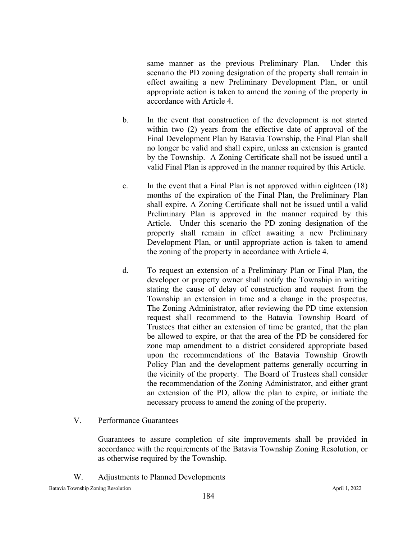same manner as the previous Preliminary Plan. Under this scenario the PD zoning designation of the property shall remain in effect awaiting a new Preliminary Development Plan, or until appropriate action is taken to amend the zoning of the property in accordance with Article 4.

- b. In the event that construction of the development is not started within two (2) years from the effective date of approval of the Final Development Plan by Batavia Township, the Final Plan shall no longer be valid and shall expire, unless an extension is granted by the Township. A Zoning Certificate shall not be issued until a valid Final Plan is approved in the manner required by this Article.
- c. In the event that a Final Plan is not approved within eighteen (18) months of the expiration of the Final Plan, the Preliminary Plan shall expire. A Zoning Certificate shall not be issued until a valid Preliminary Plan is approved in the manner required by this Article. Under this scenario the PD zoning designation of the property shall remain in effect awaiting a new Preliminary Development Plan, or until appropriate action is taken to amend the zoning of the property in accordance with Article 4.
- d. To request an extension of a Preliminary Plan or Final Plan, the developer or property owner shall notify the Township in writing stating the cause of delay of construction and request from the Township an extension in time and a change in the prospectus. The Zoning Administrator, after reviewing the PD time extension request shall recommend to the Batavia Township Board of Trustees that either an extension of time be granted, that the plan be allowed to expire, or that the area of the PD be considered for zone map amendment to a district considered appropriate based upon the recommendations of the Batavia Township Growth Policy Plan and the development patterns generally occurring in the vicinity of the property. The Board of Trustees shall consider the recommendation of the Zoning Administrator, and either grant an extension of the PD, allow the plan to expire, or initiate the necessary process to amend the zoning of the property.
- V. Performance Guarantees

Guarantees to assure completion of site improvements shall be provided in accordance with the requirements of the Batavia Township Zoning Resolution, or as otherwise required by the Township.

W. Adjustments to Planned Developments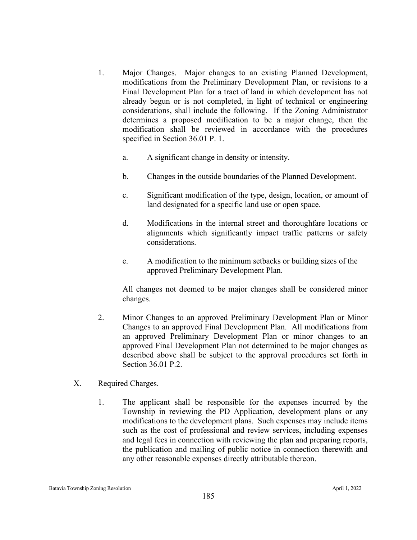- 1. Major Changes. Major changes to an existing Planned Development, modifications from the Preliminary Development Plan, or revisions to a Final Development Plan for a tract of land in which development has not already begun or is not completed, in light of technical or engineering considerations, shall include the following. If the Zoning Administrator determines a proposed modification to be a major change, then the modification shall be reviewed in accordance with the procedures specified in Section 36.01 P. 1.
	- a. A significant change in density or intensity.
	- b. Changes in the outside boundaries of the Planned Development.
	- c. Significant modification of the type, design, location, or amount of land designated for a specific land use or open space.
	- d. Modifications in the internal street and thoroughfare locations or alignments which significantly impact traffic patterns or safety considerations.
	- e. A modification to the minimum setbacks or building sizes of the approved Preliminary Development Plan.

All changes not deemed to be major changes shall be considered minor changes.

- 2. Minor Changes to an approved Preliminary Development Plan or Minor Changes to an approved Final Development Plan. All modifications from an approved Preliminary Development Plan or minor changes to an approved Final Development Plan not determined to be major changes as described above shall be subject to the approval procedures set forth in Section 36.01 P.2.
- X. Required Charges.
	- 1. The applicant shall be responsible for the expenses incurred by the Township in reviewing the PD Application, development plans or any modifications to the development plans. Such expenses may include items such as the cost of professional and review services, including expenses and legal fees in connection with reviewing the plan and preparing reports, the publication and mailing of public notice in connection therewith and any other reasonable expenses directly attributable thereon.